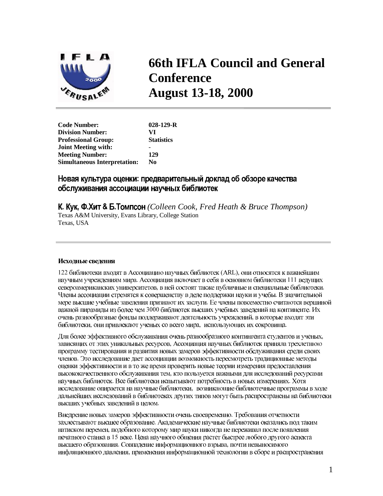

# **66th IFLA Council and General Conference August 13-18, 2000**

**Code Number: 028-129-R Division Number: VI Professional Group: Joint Meeting with:** - **Meeting Number: 129 Simultaneous Interpretation: No** 

# Новая культура оценки: предварительный доклад об обзоре качества обслуживания ассоциации научных библиотек

**К. Кук, Ф.Хит & Б.Томпсон** (Colleen Cook, Fred Heath & Bruce Thompson) Texas A&M University, Evans Library, College Station Texas, USA

# Исходные сведения

122 библиотеки входят в Ассоциацию научных библиотек (ARL), они относятся к важнейшим научным учреждениям мира. Ассоциация включает в себя в основном библиотеки 111 ведущих североамериканских университетов, в ней состоят также публичные и специальные библиотеки. Члены ассоциации стремятся к совершенству в деле поддержки науки и учебы. В значительной мере высшие учебные заведения признают их заслуги. Ее члены повсеместно считаются вершиной важной пирамиды из более чем 3000 библиотек высших учебных заведений на континенте. Их очень разнообразные фонды поддерживают деятельность учреждений, в которые входят эти библиотеки, они привлекают ученых со всего мира, использующих их сокровища.

Для более эффективного обслуживания очень разнообразного контингента студентов и ученых, зависящих от этих уникальных ресурсов, Ассоциация научных библиотек приняла трехлетнюю программу тестирования и развития новых замеров эффективности обслуживания среди своих членов. Это исследование дает ассоциации возможность пересмотреть традиционные методы оценки эффективности и в то же время проверить новые теории измерения предоставления высококачественного обслуживания тем, кто пользуется важными для исследований ресурсами научных библиотек. Все библиотеки испытывают потребность в новых измерениях. Хотя исследование опирается на научные библиотеки, возникающие библиотечные программы в ходе дальнейших исследований в библиотеках других типов могут быть распространены на библиотеки высших учебных заведений в целом.

Внедрение новых замеров эффективности очень своевременно. Требования отчетности захлестывают высшее образование. Академические научные библиотеки оказались под таким натиском перемен, подобного которому мир науки никогда не переживал после появления печатного станка в 15 веке. Цена научного общения растет быстрее любого другого аспекта высшего образования. Совпадение информационного взрыва, почти невыносимого инфляционного давления, применения информационной технологии в сборе и распространения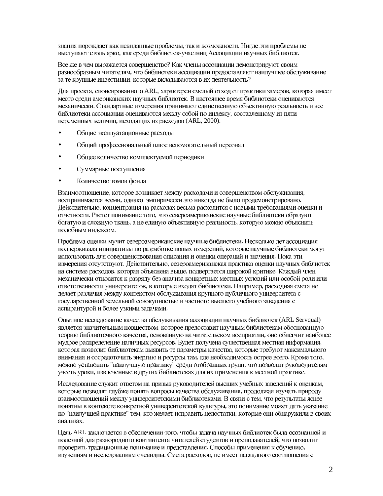знания порождает как невиданные проблемы, так и возможности. Нигде эти проблемы не выступают столь ярко, как среди библиотек-участниц Ассоциации научных библиотек.

Все же в чем выражается совершенство? Как члены ассоциации демонстрируют своим разнообразным читателям, что библиотеки ассоциации предоставляют наилучшее обслуживание за те крупные инвестиции, которые вкладываются в их деятельность?

Для проекта, спонсированного ARL, характерен смелый отход от практики замеров, которая имеет место среди американских научных библиотек. В настоящее время библиотеки оцениваются механически. Стандартные измерения принимают единственную объективную реальность и все библиотеки ассоциации оцениваются между собой по индексу, составленному из пяти переменных величин, исходящих из расходов (ARL, 2000).

- Общие эксплуатационные расходы
- Общий профессиональный плюс вспомогательный персонал
- Общее количество комплектуемой периодики
- Суммарные поступления  $\bullet$
- Количество томов фонда

Взаимоотношение, которое возникает между расходами и совершенством обслуживания, воспринимается всеми, однако эмпирически это никогда не было продемонстрировано. Действительно, концентрация на расходах весьма расходится с новыми требованиями оценки и отчетности. Растет понимание того, что североамериканские научные библиотеки образуют богатую и сложную ткань, а не единую объективную реальность, которую можно объяснить подобным индексом.

Проблема оценки мучит североамериканские научные библиотеки. Несколько лет ассоциация поддерживала инициативы по разработке новых измерений, которые научные библиотеки могут использовать для совершенствования описания и оценки операций и значения. Пока эти измерения отсутствуют. Действительно, североамериканская практика оценки научных библиотек на системе расходов, которая объяснена выше, подвергается широкой критике. Каждый член механически относится к разряду без анализа конкретных местных условий или особой роли или ответственности университетов, в которые входят библиотеки. Например, расходная смета не делает различия между контекстом обслуживания крупного публичного университета с государственной земельной совокупностью и частного высшего учебного заведения с аспирантурой и более узкими задачами.

Опытное исследование качества обслуживания ассоциации научных библиотек (ARL Servqual) является значительным новшеством, которое предоставит научным библиотекам обоснованную теорию библиотечного качества, основанную на читательском восприятии, оно облегчит наиболее мудрое распределение наличных ресурсов. Будет получена существенная местная информация, которая позволит библиотекам выявить те параметры качества, которые требуют максимального внимания и сосредоточить энергию и ресурсы там, где необходимость острее всего. Кроме того, можно установить "наилучшую практику" среди отобранных групп, что позволит руководителям учесть уроки, извлеченные в других библиотеках для их применения к местной практике.

Исследование служит ответом на призыв руководителей высших учебных заведений к оценкам, которые позволят глубже понять вопросы качества обслуживания, продолжая изучать природу взаимоотношений между университетскими библиотеками. В связи с тем, что результаты яснее понятны в контексте конкретной университетской культуры, это понимание может дать указание по "наилучшей практике" тем, кто желает исправить недостатки, которые они обнаружили в своих анализах.

Цель ARL заключается в обеспечении того, чтобы задача научных библиотек была осознанной и полезной для разнородного контингента читателей студентов и преподавателей, что позволит проверить традиционные понимание и представления. Способы применения к обучению, изучениям и исследованиям очевидны. Смета расходов, не имеет наглядного соотношения с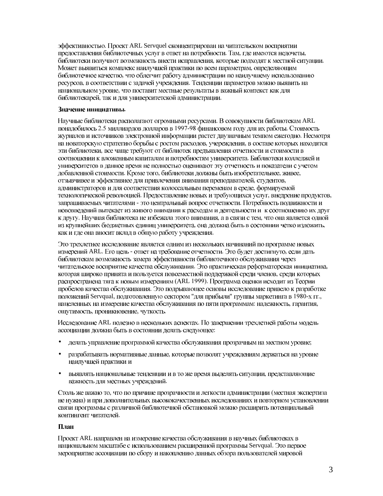эффективностью. Проект ARL Servquel сконцентрирован на читательском восприятии предоставления библиотечных услуг в ответ на потребности. Там, где имеются недочеты, библиотеки получают возможность внести исправления, которые подходят к местной ситуации. Может выявиться комплекс наилучшей практики по всем параметрам, определяющим библиотечное качество, что облегчит работу администрации по наилучшему использованию ресурсов, в соответствии с задачей учреждения. Тенденции параметров можно выявить на национальном уровне, что поставит местные результаты в важный контекст как для библиотекарей, так и для университетской администрации.

## Значение инициативы.

Научные библиотеки располагают огромными ресурсами. В совокупности библиотекам ARL понадобилось 2.5 миллиардов долларов в 1997-98 финансовом году для их работы. Стоимость журналов и источников электронной информации растет двузначным темпом ежегодно. Несмотря на новаторскую стратегию борьбы с ростом расходов, учереждения, в составе которых находятся эти библиотеки, все чаще требуют от библиотек предъявления отчетности и стоимости в соотношении к вложенным капиталам и потребностям университета. Библиотеки колледжей и университетов в данное время не полностью оценивают эту отчетность и показатели с учетом добавленной стоимости. Кроме того, библиотеки должны быть изобретательнее, живее, отзывчивее и эффективнее для привлечения внимания преподавателей, студентов, администраторов и для соответствия колоссальным переменам в среде, формируемой технологической революцией. Предоставление новых и требующихся услуг, внедрение продуктов, запрашиваемых читателями - это центральный вопрос отчетности. Потребность подвижности и нововведений вытекает из живого внимания к расходам и деятельности и к соотношению их друг к другу. Научная библиотека не избежала этого внимания, а в связи с тем, что она является одной из крупнейших бюджетных единиц университета, она должна быть в состоянии четко изложить, как и где она вносит вклад в общую работу учреждения.

Это трехлетнее исследование является одним из нескольких начинаний по программе новых измерений ARL. Его цель - ответ на требование отчетности. Это будет достигнуто, если дать библиотекам возможность замера эффективности библиотечного обслуживания через читательское восприятие качества обслуживания. Это практическая реформаторская инициатива, которая широко принята и пользуется повсеместной поддержкой среди членов, среди которых распространена тяга к новым измерениям (ARL 1999). Программа оценки исходит из Теории пробелов качества обслуживания. Это подрывающее основы исследование привело к разработке положений Servqual, подготовленную сектором "для прибыли" группы маркетинга в 1980-х гг., нацеленных на измерение качества обслуживания по пяти программам: надежность, гарантия, ОШУТИМОСТЬ, ПООНИКНОВЕНИЕ, ЧУТКОСТЬ.

Исследование ARL полезно в нескольких аспектах. По завершении трехлетней работы модель ассоциации должна быть в состоянии делать следующее:

- $\bullet$ делать управление программой качества обслуживания прозрачным на местном уровне;
- $\bullet$ разрабатывать нормативные данные, которые позволят учреждениям держаться на уровне наилучшей практики и
- выявлять национальные тенденции и в то же время выделять ситуации, представляющие  $\bullet$ важность для местных учреждений.

Столь же важно то, что по причине прозрачности и легкости администрации (местная экспертиза не нужна) и при дополнительных высококачественных исследованиях и повторном установлении связи программы с различной библиотечной обстановкой можно расширить потенциальный контингент читателей.

### План

Проект ARL направлен на измерение качества обслуживания в научных библиотеках в национальном масштабе с использованием расширенной программы Servqual. Это первое мероприятие ассоциации по сбору и накоплению данных обзора пользователей мировой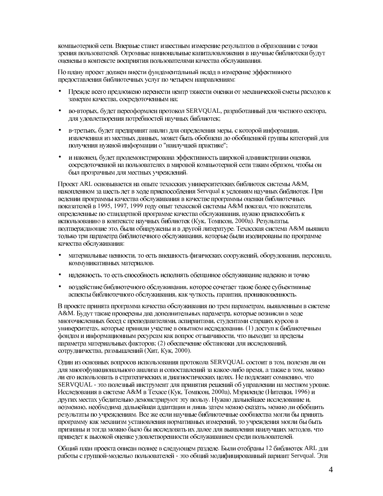компьютерной сети. Впервые станет известным измерение результатов в образовании с точки зрения пользователей. Огромные национальные капиталовложения в научные библиотеки будут оценены в контексте восприятия пользователями качества обслуживания.

По плану проект должен внести фундаментальный вклад в измерение эффективного предоставления библиотечных услуг по четырем направлениям:

- Прежде всего предложено перенести центр тяжести оценки от механической сметы расходов к замерам качества, сосредоточенным на;
- во-вторых, будет переоформлен протокол SERVQUAL, разработанный для частного сектора, для удовлетворения потребностей научных библиотек;
- в-третьих, будет предпринят анализ для определения меры, с которой информация, извлеченная из местных данных, может быть обобщена до обобщенной группы категорий для получения нужной информации о "наилучшей практике";
- и наконец, будет продемонстрирована эффективность широкой администрации оценки, сосредоточенной на пользователях в мировой компьютерной сети таким образом, чтобы он был прозрачным для местных учреждений.

Проект ARL основывается на опыте техасских университетских библиотек системы A&M, накопленном за шесть лет в ходе приспособления Servqual к условиям научных библиотек. При ведении программы качества обслуживания в качестве программы оценки библиотечных показателей в 1995, 1997, 1999 году опыт техасской системы А&М показал, что показатели, определенные по стандартной программе качества обслуживания, нужно приспособить к использованию в контексте научных библиотек (Кук, Томпсон, 2000а). Результаты, подтверждающие это, были обнаружены и в другой литературе. Техасская система А&М выявила только три параметра библиотечного обслуживания, которые были изолированы по программе качества обслуживания:

- материальные ценности, то есть внешность физических сооружений, оборудования, персонала, коммуникативных материалов.
- надежность, то есть способность исполнять обещанное обслуживание надежно и точно
- воздействие библиотечного обслуживания, которое сочетает такие более субъективные аспекты библиотечного обслуживания, как чуткость, гарантия, проникновенность.

В проекте принята программа качества обслуживания по трем параметрам, выявленным в системе A&M. Будут также проверены два дополнительных параметра, которые возникли в ходе многочисленных бесед с преподавателями, аспирантами, студентами старших курсов в университетах, которые приняли участие в опытном исследовании. (1) доступ к библиотечным фондам и информационным ресурсам как вопрос отзывчивости, что выходит за пределы параметра материальных факторов; (2) обеспечение обстановки для исследований, сотрудничества, размышлений (Хит, Кук, 2000).

Один из основных вопросов использования протокола SERVQUAL состоит в том, полезен ли он для многофункционального анализа и сопоставлений за какое-либо время, а также в том, можно ли его использовать в стратегических и диагностических целях. Не подлежит сомнению, что SERVQUAL - это полезный инструмент для принятия решений об управлении на местном уровне. Исследования в системе А&М в Техасе (Кук, Томпсон, 2000а), Мэриленде (Нитецки, 1996) и других местах убедительно демонстрируют эту пользу. Нужно дальнейшее исследование и, возможно, необходима дальнейшая адаптация и лишь затем можно сказать, можно ли обобщить результаты по учреждениям. Все же если научные библиотечные сообщества могли бы принять программу как механизм установления нормативных измерений, то учреждения могли бы быть признаны и тогда можно было бы исследовать их далее для выявления наилучших методов, что приведет к высокой оценке удовлетворенности обслуживанием среди пользователей.

Общий план проекта описан полнее в следующем разделе. Были отобраны 12 библиотек ARL для работы с группой-моделью пользователей - это общий модифицированный вариант Servqual. Эти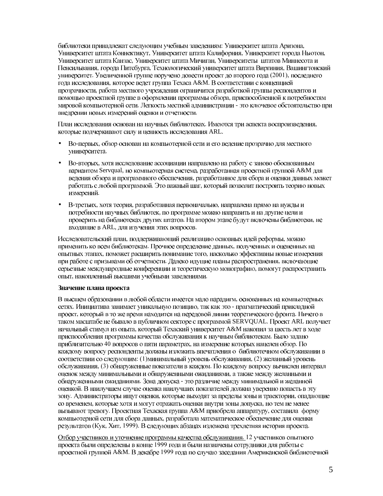библиотеки принадлежат следующим учебным заведениям: Университет штата Аризона, Университет штата Коннектикут, Университет штата Калифорния, Университет города Ньютон, Университет штата Канзас, Университет штата Мичиган, Университеты штатов Миннесота и Пенсильвания, города Питсбурга, Технологический университет штата Виргиния, Вашингтонский университет. Увеличенной группе поручено довести проект до второго года (2001), последнего года исследования, которое ведет группа Техаса A&M. В соответствии с концепцией прозрачности, работа местного учреждения ограничится разработкой группы респондентов и помощью проектной группе в оформлении программы обзора, приспособленной к потребностям мировой компьютерной сети. Легкость местной администрации - это ключевое обстоятельство при внедрении новых измерений оценки и отчетности.

План исследования основан на научных библиотеках. Имеются три аспекта воспроизведения, которые подчеркивают силу и ценность исследования ARL.

- Во-первых, обзор основан на компьютерной сети и его ведение прозрачно для местного университета.
- Во-вторых, хотя исследование ассоциации направлено на работу с заново обоснованным вариантом Servqual, но компьютерная система, разработанная проектной группой A&M для ведения обзора и программного обеспечения, разработанное для сбора и оценки данных может работать с любой программой. Это важный шаг, который позволит построить теорию новых измерений.
- В-третьих, хотя теория, разработанная первоначально, направлена прямо на нужды и потребности научных библиотек, по программе можно направить и на другие цели и проверить на библиотеках других штатов. На втором этапе будут включены библиотеки, не входящие в ARL, для изучения этих вопросов.

Исследовательский план, поддерживающий реализацию основных идей реформы, можно применить ко всем библиотекам. Прочное определение данных, полученных и оцененных на опытных этапах, поможет расширить понимание того, насколько эффективны новые измерения при работе с призывами об отчетности. Далеко идущие планы распространения, включающие серьезные международные конференции и теоретическую монографию, помогут распространить опыт, накопленный высшими учебными заведениями.

### Значение плана проекта

В высшем образовании в любой области имеется мало парадигм, основанных на компьютерных сетях. Инициатива занимает уникальную позицию, так как это - прагматический прикладной проект, который в то же время находится на передовой линии теоретического фронта. Ничего в таком масштабе не бывало в публичном секторе с программой SERVQUAL. Проект ARL получает начальный стимул из опыта, который Техаский университет A&M накопил за шесть лет в ходе приспособления программы качества обслуживания к научным библиотекам. Было задано приблизительно 40 вопросов о пяти параметрах, на измерение которых нацелен обзор. По каждому вопросу респонденты должны изложить впечатления о библиотечном обслуживании в соответствии со следующим: (1) минимальный уровень обслуживания, (2) желанный уровень обслуживания, (3) обнаруженные показатели в каждом. По каждому вопросу вычислен интервал оценок между минимальными и обнаруженными ожиданиями, а также между желанными и обнаруженными ожиданиями. Зона допуска - это различие между минимальной и желанной оценкой. В наилучшем случае оценка наилучших показателей должна уверенно попасть в эту зону. Администраторы ищут оценки, которые выходят за пределы зоны и траектории, опадающие со временем, которые хотя и могут отражать оценки внутри зоны допуска, но тем не менее вызывают тревогу. Проектная Техаская группа А&М приобрела аппаратуру, составила форму компьютерной сети для сбора данных, разработала математическое обеспечение для оценки результатов (Кук, Хит, 1999). В следующих абзацах изложена трехлетняя история проекта.

Отбор участников и уточнение программы качества обслуживания. 12 участников опытного проекта были определены в конце 1999 года и были назначены сотрудники для работы с проектной группой А&М. В декабре 1999 года по случаю заседания Американской библиотечной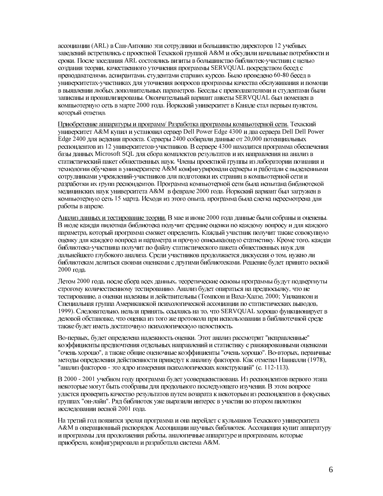ассоциации (ARL) в Сан-Антонио эти сотрудники и большинство директоров 12 учебных заведений встретились с проектной Техаской группой А&М и обсудили начальные потребности и сроки. После заседания ARL состоялись визиты в большинство библиотек-участниц с целью создания теории, качественного уточнения программы SERVQUAL посредством бесед с преподавателями, аспирантами, студентами старших курсов. Было проведено 60-80 бесед в университетах-участниках для уточнения вопросов программы качества обслуживания и помощи в выявлении любых дополнительных параметров. Беседы с преподавателями и студентами были записаны и проанализированы. Окончательный вариант анкеты SERVOUAL был помещен в компьютерную сеть в марте 2000 года. Йоркский университет в Канаде стал первым пунктом, который ответил.

Приобретение аппаратуры и программ/ Разработка программы компьютерной сети. Техаский университет A&M купил и установил сервер Dell Power Edge 4300 и два сервера Dell Dell Power Edge 2400 для ведения проекта. Серверы 2400 собирали данные от 20,000 потенциальных респондентов из 12 университетов-участников. В сервере 4300 находится программа обеспечения базы данных Microsoft SQL для сбора комплектов результатов и их направления на анализ в статистический пакет общественных наук. Члены проектной группы из лаборатории познания и технологии обучения в университете А&М конфигурировали серверы и работали с выделенными сотрудниками учреждений-участников для подготовки их страниц в компьютерной сети и разработки их групп респондентов. Программа компьютерной сети была испытана библиотекой медицинских наук университета А&М в феврале 2000 года. Йоркский вариант был загружен в компьютерную сеть 15 марта. Исходя из этого опыта, программа была слегка пересмотрена для работы в апреле.

Анализ данных и тестирование теории. В мае и июне 2000 года данные были собраны и оценены. В июле каждая пилотная библиотека получит средние оценки по каждому вопросу и для каждого параметра, который программа сможет определить. Каждый участник получит также совокупную оценку для каждого вопроса и параметра и прочую описывающую статистику. Кроме того, каждая библиотека-участница получит по файлу статистического пакета общественных наук для дальнейшего глубокого анализа. Среди участников продолжается дискуссия о том, нужно ли библиотекам делиться своими оценками с другими библиотеками. Решение будет принято весной 2000 года.

Летом 2000 года, после сбора всех данных, теоретические основы программы будут подвергнуты строгому количественному тестированию. Анализ будет опираться на предпосылку, что не тестирование, а оценки надежны и действительны (Томпсон и Ваха-Хаазе, 2000; Уилкинсон и Специальная группа Американской психологической ассоциации по статистических выводов, 1999). Следовательно, нельзя принять, ссылаясь на то, что SERVQUAL хорошо функционирует в деловой обстановке, что оценка из того же протокола при использовании в библиотечной среде также будет иметь достаточную психологическую целостность.

Во-первых, будет определена надежность оценки. Этот анализ рассмотрит "исправленные" коэффициенты предпочтения отдельных направлений и статистику с ранжированными оценками "очень хорошо", а также обшие оценочные коэффициенты "очень хорошо". Во-вторых, первичные методы определения действенности приведут к анализу факторов. Как отметил Нанналли (1978), "анализ факторов - это ядро измерения психологических конструкций" (с. 112-113).

В 2000 - 2001 учебном году программа будет усовершенствована. Из респондентов первого этапа некоторые могут быть отобраны для продольного последующего изучения. В этом вопросе удается проверить качество результатов путем возврата к некоторым из респондентов в фокусных группах "он-лайн". Ряд библиотек уже выразили интерес в участии во втором пилотном исследовании весной 2001 года.

На третий год появится зрелая программа и она перейдет с кульманов Техаского университета А&М в операционный распорядок Ассоциации научных библиотек. Ассоциация купит аппаратуру и программы для продолжения работы, аналогичные аппаратуре и программам, которые приобрела, конфигурировала и разработала система А&М.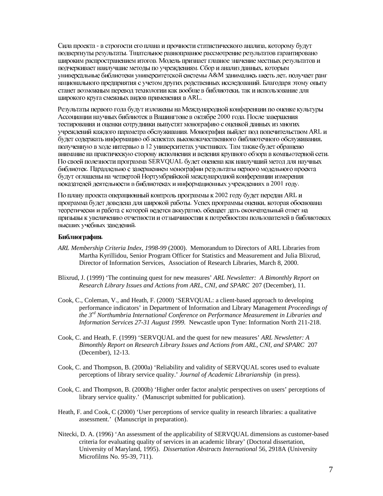Сила проекта - в строгости его плана и прочности статистического анализа, которому будут подвергнуты результаты. Тщательное равноправное рассмотрение результатов гарантировано широким распространением итогов. Модель признает главное значение местных результатов и подчеркивает наилучшие методы по учреждениям. Сбор и анализ данных, которым универсальные библиотеки университетской системы A&M занимались шесть лет, получает ранг национального предприятия с учетом других родственных исследований. Благодаря этому опыту станет возможным перевод технологии как вообще в библиотеки, так и использование для широкого круга смежных видов применения в ARL.

Результаты первого года будут изложены на Международной конференции по оценке культуры Ассоциации научных библиотек в Вашингтоне в октябре 2000 года. После завершения тестирования и оценки сотрудники выпустят монографию с оценкой данных из многих учреждений каждого параметра обслуживания. Монография выйдет под попечительством ARL и будет содержать информацию об аспектах высококачественного библиотечного обслуживания, полученную в ходе интервью в 12 университетах участниках. Там также будет обращено внимание на практическую сторону исполнения и ведения крупного обзора в компьютерной сети. По своей полезности программа SERVQUAL будет оценена как наилучший метод для научных библиотек. Параллельно с завершением монографии результаты первого модельного проекта будут оглашены на четвертой Нортумбрийской международной конференции измерения показателей деятельности в библиотеках и информационных учреждениях в 2001 году.

По плану проекта операционный контроль программы к 2002 году будет передан ARL и программа будет доведена для широкой работы. Успех программы оценки, которая обоснована теоретически и работа с которой ведется аккуратно, обещает дать окончательный ответ на призывы к увеличению отчетности и отзывчивостии к потребностям пользователей в библиотеках высших учебных заведений.

#### Библиография.

- *ARL Membership Criteria Index, 1998-99* (2000). Memorandum to Directors of ARL Libraries from Martha Kyrillidou, Senior Program Officer for Statistics and Measurement and Julia Blixrud, Director of Information Services, Association of Research Libraries, March 8, 2000.
- Blixrud, J. (1999) 'The continuing quest for new measures' *ARL Newsletter: A Bimonthly Report on Research Library Issues and Actions from ARL, CNI, and SPARC* 207 (December), 11*.*
- Cook, C., Coleman, V., and Heath, F. (2000) 'SERVQUAL: a client-based approach to developing performance indicators' in Department of Information and Library Management *Proceedings of the 3rd Northumbria International Conference on Performance Measurement in Libraries and Information Services 27-31 August 1999.* Newcastle upon Tyne: Information North 211-218.
- Cook, C. and Heath, F. (1999) 'SERVQUAL and the quest for new measures' *ARL Newsletter: A Bimonthly Report on Research Library Issues and Actions from ARL, CNI, and SPARC* 207 (December), 12-13.
- Cook, C. and Thompson, B. (2000a) 'Reliability and validity of SERVQUAL scores used to evaluate perceptions of library service quality.' *Journal of Academic Librarianship* (in press).
- Cook, C. and Thompson, B. (2000b) 'Higher order factor analytic perspectives on users' perceptions of library service quality.' (Manuscript submitted for publication).
- Heath, F. and Cook, C (2000) 'User perceptions of service quality in research libraries: a qualitative assessment.' (Manuscript in preparation).
- Nitecki, D. A. (1996) 'An assessment of the applicability of SERVQUAL dimensions as customer-based criteria for evaluating quality of services in an academic library' (Doctoral dissertation, University of Maryland, 1995). *Dissertation Abstracts International* 56, 2918A (University Microfilms No. 95-39, 711).